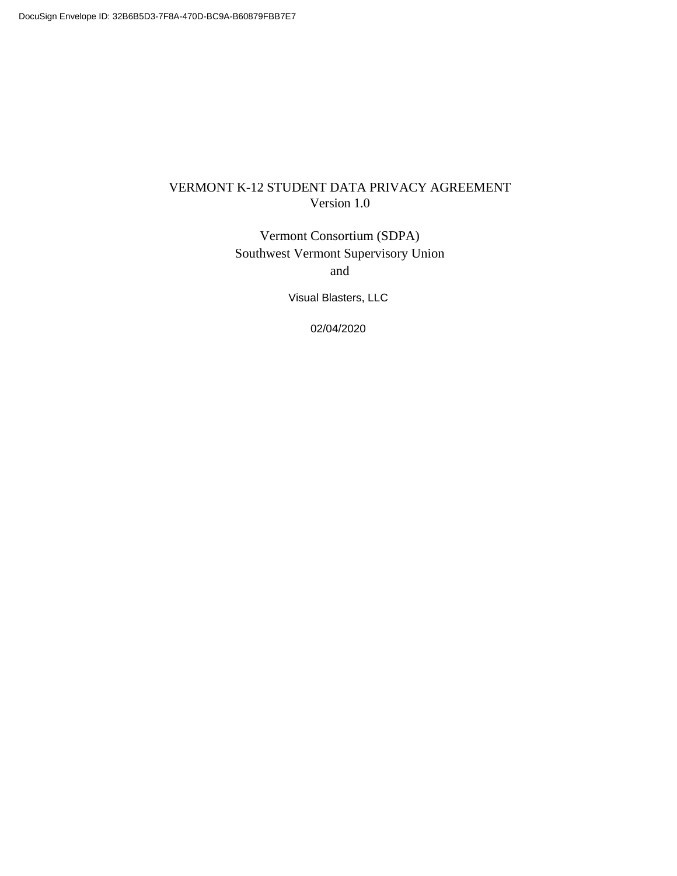## VERMONT K-12 STUDENT DATA PRIVACY AGREEMENT Version 1.0

Vermont Consortium (SDPA) Southwest Vermont Supervisory Union and

Visual Blasters, LLC

02/04/2020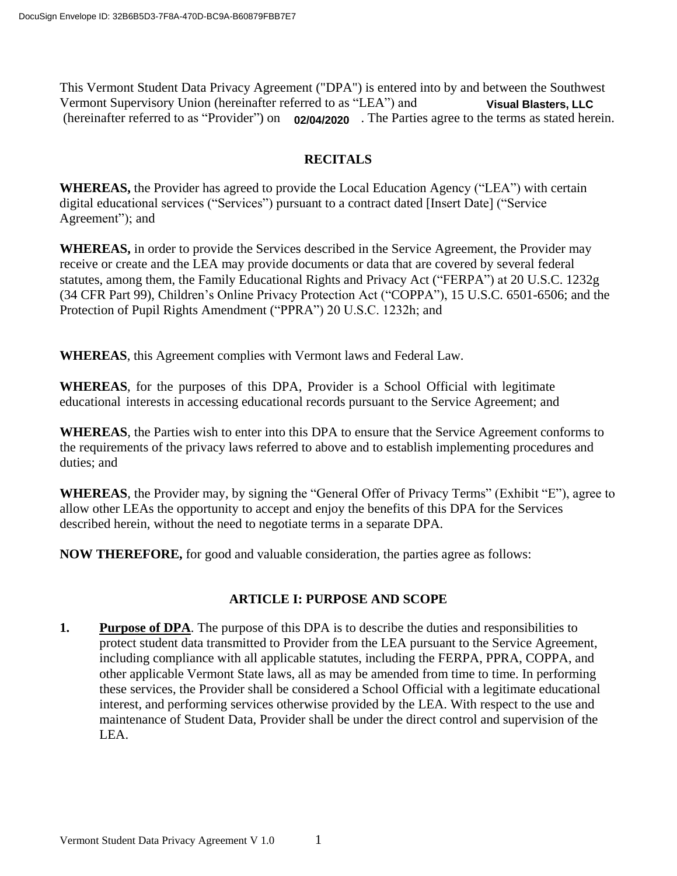This Vermont Student Data Privacy Agreement ("DPA") is entered into by and between the Southwest Vermont Supervisory Union (hereinafter referred to as "LEA") and **Visual Blasters, LLC** (hereinafter referred to as "Provider") on **02/04/2020** . The Parties agree to the terms as stated herein.

### **RECITALS**

**WHEREAS,** the Provider has agreed to provide the Local Education Agency ("LEA") with certain digital educational services ("Services") pursuant to a contract dated [Insert Date] ("Service Agreement"); and

**WHEREAS,** in order to provide the Services described in the Service Agreement, the Provider may receive or create and the LEA may provide documents or data that are covered by several federal statutes, among them, the Family Educational Rights and Privacy Act ("FERPA") at 20 U.S.C. 1232g (34 CFR Part 99), Children's Online Privacy Protection Act ("COPPA"), 15 U.S.C. 6501-6506; and the Protection of Pupil Rights Amendment ("PPRA") 20 U.S.C. 1232h; and

**WHEREAS**, this Agreement complies with Vermont laws and Federal Law.

**WHEREAS**, for the purposes of this DPA, Provider is a School Official with legitimate educational interests in accessing educational records pursuant to the Service Agreement; and

**WHEREAS**, the Parties wish to enter into this DPA to ensure that the Service Agreement conforms to the requirements of the privacy laws referred to above and to establish implementing procedures and duties; and

**WHEREAS**, the Provider may, by signing the "General Offer of Privacy Terms" (Exhibit "E"), agree to allow other LEAs the opportunity to accept and enjoy the benefits of this DPA for the Services described herein, without the need to negotiate terms in a separate DPA.

**NOW THEREFORE,** for good and valuable consideration, the parties agree as follows:

### **ARTICLE I: PURPOSE AND SCOPE**

**1.** Purpose of DPA. The purpose of this DPA is to describe the duties and responsibilities to protect student data transmitted to Provider from the LEA pursuant to the Service Agreement, including compliance with all applicable statutes, including the FERPA, PPRA, COPPA, and other applicable Vermont State laws, all as may be amended from time to time. In performing these services, the Provider shall be considered a School Official with a legitimate educational interest, and performing services otherwise provided by the LEA. With respect to the use and maintenance of Student Data, Provider shall be under the direct control and supervision of the LEA.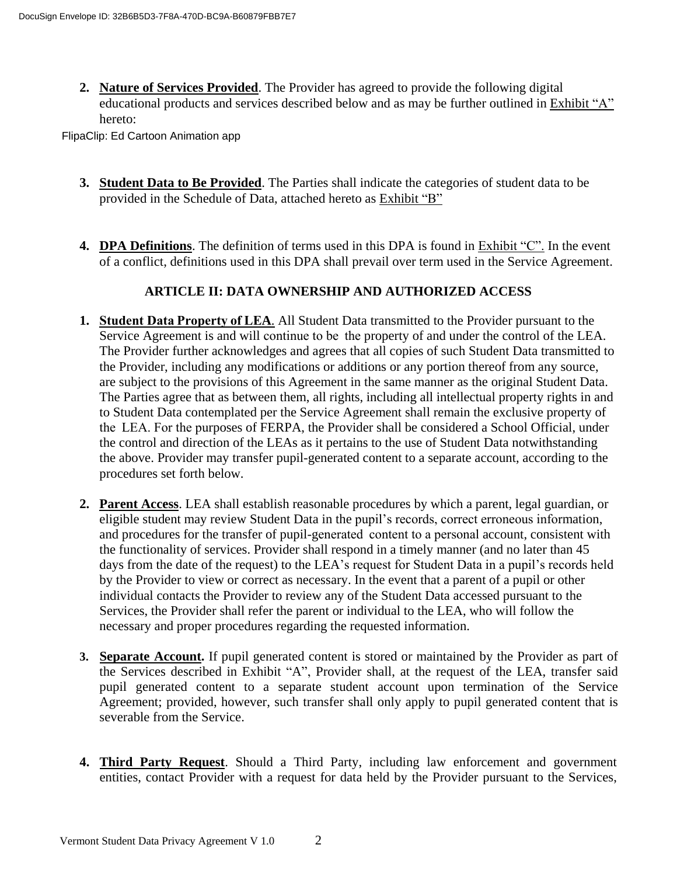**2. Nature of Services Provided**. The Provider has agreed to provide the following digital educational products and services described below and as may be further outlined in Exhibit "A" hereto:

FlipaClip: Ed Cartoon Animation app

- **3. Student Data to Be Provided**. The Parties shall indicate the categories of student data to be provided in the Schedule of Data, attached hereto as Exhibit "B"
- **4. DPA Definitions**. The definition of terms used in this DPA is found in Exhibit "C". In the event of a conflict, definitions used in this DPA shall prevail over term used in the Service Agreement.

## **ARTICLE II: DATA OWNERSHIP AND AUTHORIZED ACCESS**

- **1. Student Data Property of LEA**. All Student Data transmitted to the Provider pursuant to the Service Agreement is and will continue to be the property of and under the control of the LEA. The Provider further acknowledges and agrees that all copies of such Student Data transmitted to the Provider, including any modifications or additions or any portion thereof from any source, are subject to the provisions of this Agreement in the same manner as the original Student Data. The Parties agree that as between them, all rights, including all intellectual property rights in and to Student Data contemplated per the Service Agreement shall remain the exclusive property of the  LEA. For the purposes of FERPA, the Provider shall be considered a School Official, under the control and direction of the LEAs as it pertains to the use of Student Data notwithstanding the above. Provider may transfer pupil-generated content to a separate account, according to the procedures set forth below.
- **2. Parent Access**. LEA shall establish reasonable procedures by which a parent, legal guardian, or eligible student may review Student Data in the pupil's records, correct erroneous information, and procedures for the transfer of pupil-generated  content to a personal account, consistent with the functionality of services. Provider shall respond in a timely manner (and no later than 45 days from the date of the request) to the LEA's request for Student Data in a pupil's records held by the Provider to view or correct as necessary. In the event that a parent of a pupil or other individual contacts the Provider to review any of the Student Data accessed pursuant to the Services, the Provider shall refer the parent or individual to the LEA, who will follow the necessary and proper procedures regarding the requested information.
- **3. Separate Account.** If pupil generated content is stored or maintained by the Provider as part of the Services described in Exhibit "A", Provider shall, at the request of the LEA, transfer said pupil generated content to a separate student account upon termination of the Service Agreement; provided, however, such transfer shall only apply to pupil generated content that is severable from the Service.
- **4. Third Party Request**. Should a Third Party, including law enforcement and government entities, contact Provider with a request for data held by the Provider pursuant to the Services,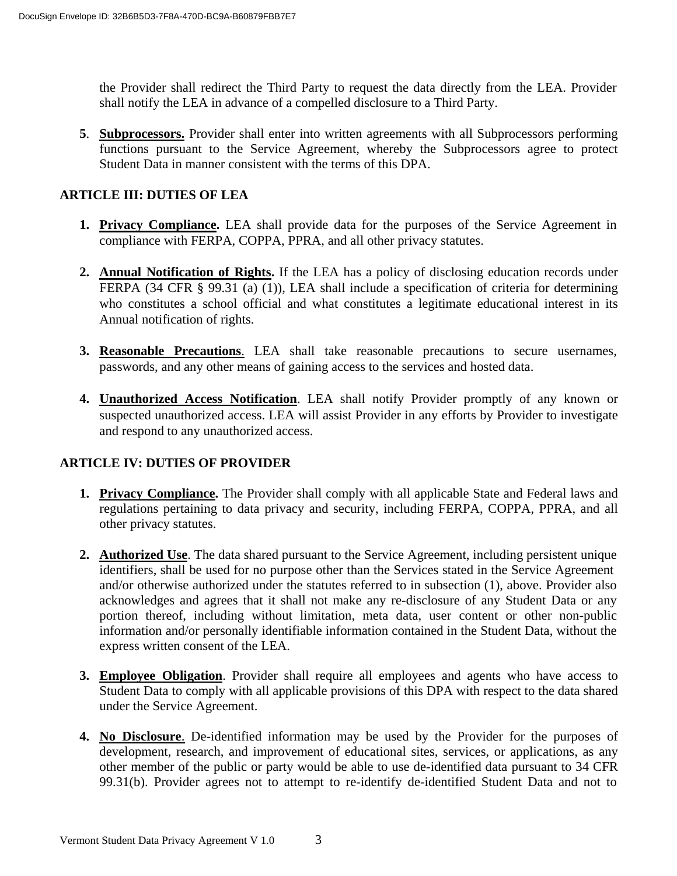the Provider shall redirect the Third Party to request the data directly from the LEA. Provider shall notify the LEA in advance of a compelled disclosure to a Third Party.

**5**. **Subprocessors.** Provider shall enter into written agreements with all Subprocessors performing functions pursuant to the Service Agreement, whereby the Subprocessors agree to protect Student Data in manner consistent with the terms of this DPA.

### **ARTICLE III: DUTIES OF LEA**

- **1. Privacy Compliance.** LEA shall provide data for the purposes of the Service Agreement in compliance with FERPA, COPPA, PPRA, and all other privacy statutes.
- **2. Annual Notification of Rights.** If the LEA has a policy of disclosing education records under FERPA (34 CFR § 99.31 (a) (1)), LEA shall include a specification of criteria for determining who constitutes a school official and what constitutes a legitimate educational interest in its Annual notification of rights.
- **3. Reasonable Precautions**. LEA shall take reasonable precautions to secure usernames, passwords, and any other means of gaining access to the services and hosted data.
- **4. Unauthorized Access Notification**. LEA shall notify Provider promptly of any known or suspected unauthorized access. LEA will assist Provider in any efforts by Provider to investigate and respond to any unauthorized access.

### **ARTICLE IV: DUTIES OF PROVIDER**

- **1. Privacy Compliance.** The Provider shall comply with all applicable State and Federal laws and regulations pertaining to data privacy and security, including FERPA, COPPA, PPRA, and all other privacy statutes.
- **2. Authorized Use**. The data shared pursuant to the Service Agreement, including persistent unique identifiers, shall be used for no purpose other than the Services stated in the Service Agreement and/or otherwise authorized under the statutes referred to in subsection (1), above. Provider also acknowledges and agrees that it shall not make any re-disclosure of any Student Data or any portion thereof, including without limitation, meta data, user content or other non-public information and/or personally identifiable information contained in the Student Data, without the express written consent of the LEA.
- **3. Employee Obligation**. Provider shall require all employees and agents who have access to Student Data to comply with all applicable provisions of this DPA with respect to the data shared under the Service Agreement.
- **4. No Disclosure**. De-identified information may be used by the Provider for the purposes of development, research, and improvement of educational sites, services, or applications, as any other member of the public or party would be able to use de-identified data pursuant to 34 CFR 99.31(b). Provider agrees not to attempt to re-identify de-identified Student Data and not to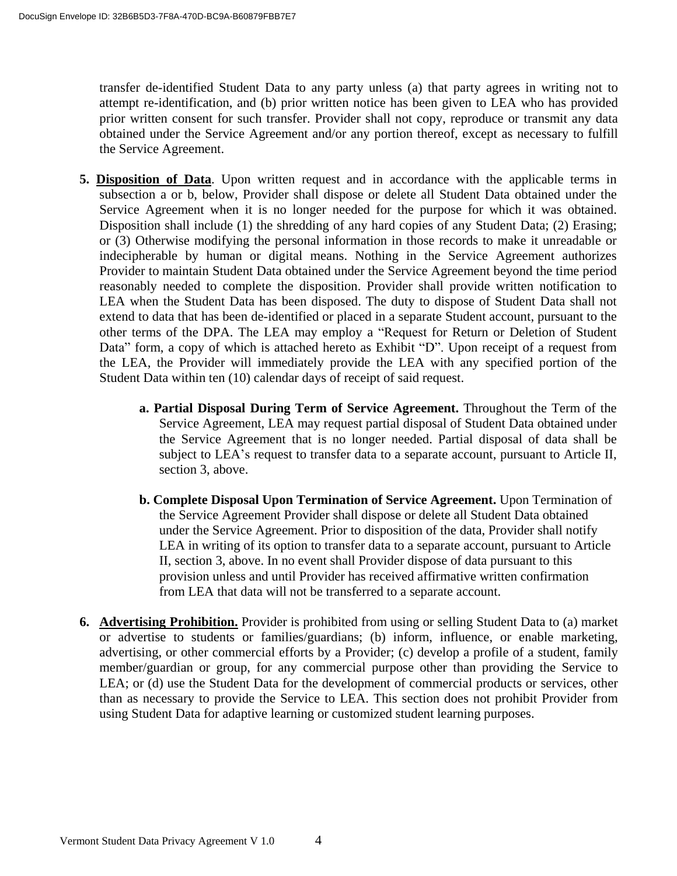transfer de-identified Student Data to any party unless (a) that party agrees in writing not to attempt re-identification, and (b) prior written notice has been given to LEA who has provided prior written consent for such transfer. Provider shall not copy, reproduce or transmit any data obtained under the Service Agreement and/or any portion thereof, except as necessary to fulfill the Service Agreement.

- **5. Disposition of Data**. Upon written request and in accordance with the applicable terms in subsection a or b, below, Provider shall dispose or delete all Student Data obtained under the Service Agreement when it is no longer needed for the purpose for which it was obtained. Disposition shall include (1) the shredding of any hard copies of any Student Data; (2) Erasing; or (3) Otherwise modifying the personal information in those records to make it unreadable or indecipherable by human or digital means. Nothing in the Service Agreement authorizes Provider to maintain Student Data obtained under the Service Agreement beyond the time period reasonably needed to complete the disposition. Provider shall provide written notification to LEA when the Student Data has been disposed. The duty to dispose of Student Data shall not extend to data that has been de-identified or placed in a separate Student account, pursuant to the other terms of the DPA. The LEA may employ a "Request for Return or Deletion of Student Data" form, a copy of which is attached hereto as Exhibit "D". Upon receipt of a request from the LEA, the Provider will immediately provide the LEA with any specified portion of the Student Data within ten (10) calendar days of receipt of said request.
	- **a. Partial Disposal During Term of Service Agreement.** Throughout the Term of the Service Agreement, LEA may request partial disposal of Student Data obtained under the Service Agreement that is no longer needed. Partial disposal of data shall be subject to LEA's request to transfer data to a separate account, pursuant to Article II, section 3, above.
	- **b. Complete Disposal Upon Termination of Service Agreement.** Upon Termination of the Service Agreement Provider shall dispose or delete all Student Data obtained under the Service Agreement. Prior to disposition of the data, Provider shall notify LEA in writing of its option to transfer data to a separate account, pursuant to Article II, section 3, above. In no event shall Provider dispose of data pursuant to this provision unless and until Provider has received affirmative written confirmation from LEA that data will not be transferred to a separate account.
- **6. Advertising Prohibition.** Provider is prohibited from using or selling Student Data to (a) market or advertise to students or families/guardians; (b) inform, influence, or enable marketing, advertising, or other commercial efforts by a Provider; (c) develop a profile of a student, family member/guardian or group, for any commercial purpose other than providing the Service to LEA; or (d) use the Student Data for the development of commercial products or services, other than as necessary to provide the Service to LEA. This section does not prohibit Provider from using Student Data for adaptive learning or customized student learning purposes.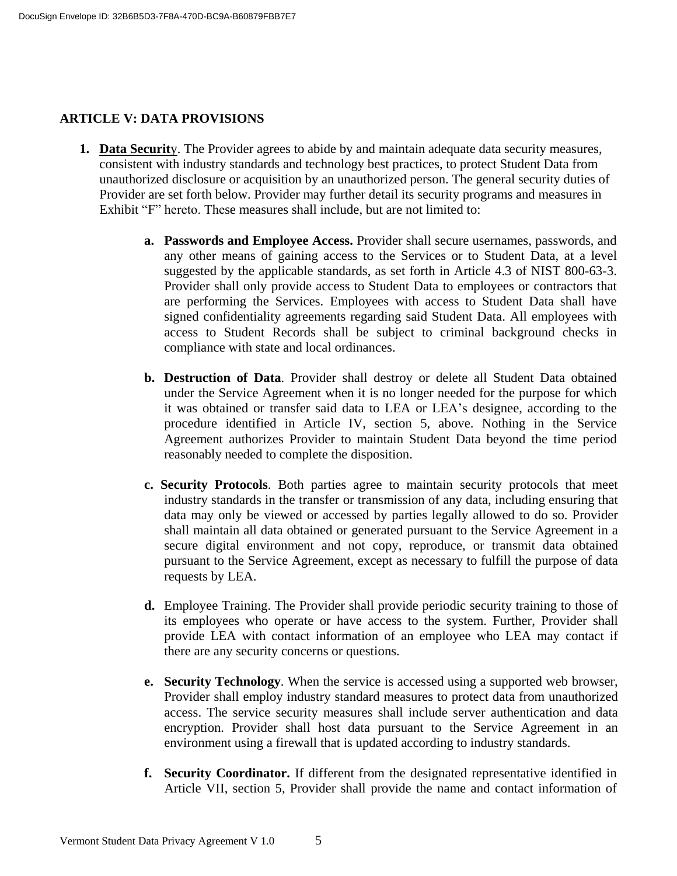### **ARTICLE V: DATA PROVISIONS**

- **1. Data Securit**y. The Provider agrees to abide by and maintain adequate data security measures, consistent with industry standards and technology best practices, to protect Student Data from unauthorized disclosure or acquisition by an unauthorized person. The general security duties of Provider are set forth below. Provider may further detail its security programs and measures in Exhibit "F" hereto. These measures shall include, but are not limited to:
	- **a. Passwords and Employee Access.** Provider shall secure usernames, passwords, and any other means of gaining access to the Services or to Student Data, at a level suggested by the applicable standards, as set forth in Article 4.3 of NIST 800-63-3. Provider shall only provide access to Student Data to employees or contractors that are performing the Services. Employees with access to Student Data shall have signed confidentiality agreements regarding said Student Data. All employees with access to Student Records shall be subject to criminal background checks in compliance with state and local ordinances.
	- **b. Destruction of Data**. Provider shall destroy or delete all Student Data obtained under the Service Agreement when it is no longer needed for the purpose for which it was obtained or transfer said data to LEA or LEA's designee, according to the procedure identified in Article IV, section 5, above. Nothing in the Service Agreement authorizes Provider to maintain Student Data beyond the time period reasonably needed to complete the disposition.
	- **c. Security Protocols**. Both parties agree to maintain security protocols that meet industry standards in the transfer or transmission of any data, including ensuring that data may only be viewed or accessed by parties legally allowed to do so. Provider shall maintain all data obtained or generated pursuant to the Service Agreement in a secure digital environment and not copy, reproduce, or transmit data obtained pursuant to the Service Agreement, except as necessary to fulfill the purpose of data requests by LEA.
	- **d.** Employee Training. The Provider shall provide periodic security training to those of its employees who operate or have access to the system. Further, Provider shall provide LEA with contact information of an employee who LEA may contact if there are any security concerns or questions.
	- **e. Security Technology**. When the service is accessed using a supported web browser, Provider shall employ industry standard measures to protect data from unauthorized access. The service security measures shall include server authentication and data encryption. Provider shall host data pursuant to the Service Agreement in an environment using a firewall that is updated according to industry standards.
	- **f. Security Coordinator.** If different from the designated representative identified in Article VII, section 5, Provider shall provide the name and contact information of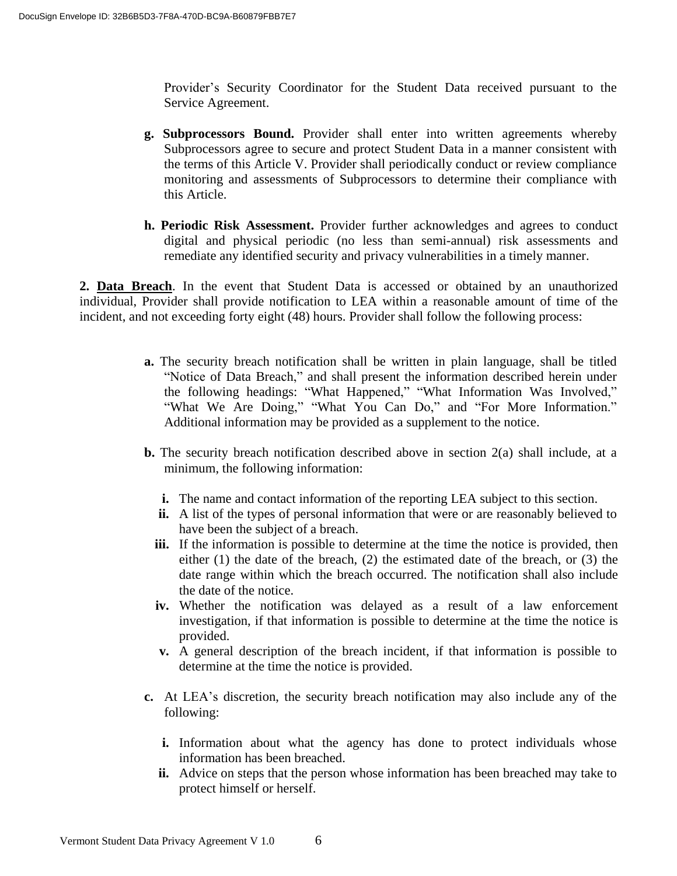Provider's Security Coordinator for the Student Data received pursuant to the Service Agreement.

- **g. Subprocessors Bound.** Provider shall enter into written agreements whereby Subprocessors agree to secure and protect Student Data in a manner consistent with the terms of this Article V. Provider shall periodically conduct or review compliance monitoring and assessments of Subprocessors to determine their compliance with this Article.
- **h. Periodic Risk Assessment.** Provider further acknowledges and agrees to conduct digital and physical periodic (no less than semi-annual) risk assessments and remediate any identified security and privacy vulnerabilities in a timely manner.

**2. Data Breach**. In the event that Student Data is accessed or obtained by an unauthorized individual, Provider shall provide notification to LEA within a reasonable amount of time of the incident, and not exceeding forty eight (48) hours. Provider shall follow the following process:

- **a.** The security breach notification shall be written in plain language, shall be titled "Notice of Data Breach," and shall present the information described herein under the following headings: "What Happened," "What Information Was Involved," "What We Are Doing," "What You Can Do," and "For More Information." Additional information may be provided as a supplement to the notice.
- **b.** The security breach notification described above in section 2(a) shall include, at a minimum, the following information:
	- **i.** The name and contact information of the reporting LEA subject to this section.
	- **ii.** A list of the types of personal information that were or are reasonably believed to have been the subject of a breach.
	- **iii.** If the information is possible to determine at the time the notice is provided, then either (1) the date of the breach, (2) the estimated date of the breach, or (3) the date range within which the breach occurred. The notification shall also include the date of the notice.
	- **iv.** Whether the notification was delayed as a result of a law enforcement investigation, if that information is possible to determine at the time the notice is provided.
	- **v.** A general description of the breach incident, if that information is possible to determine at the time the notice is provided.
- **c.** At LEA's discretion, the security breach notification may also include any of the following:
	- **i.** Information about what the agency has done to protect individuals whose information has been breached.
	- **ii.** Advice on steps that the person whose information has been breached may take to protect himself or herself.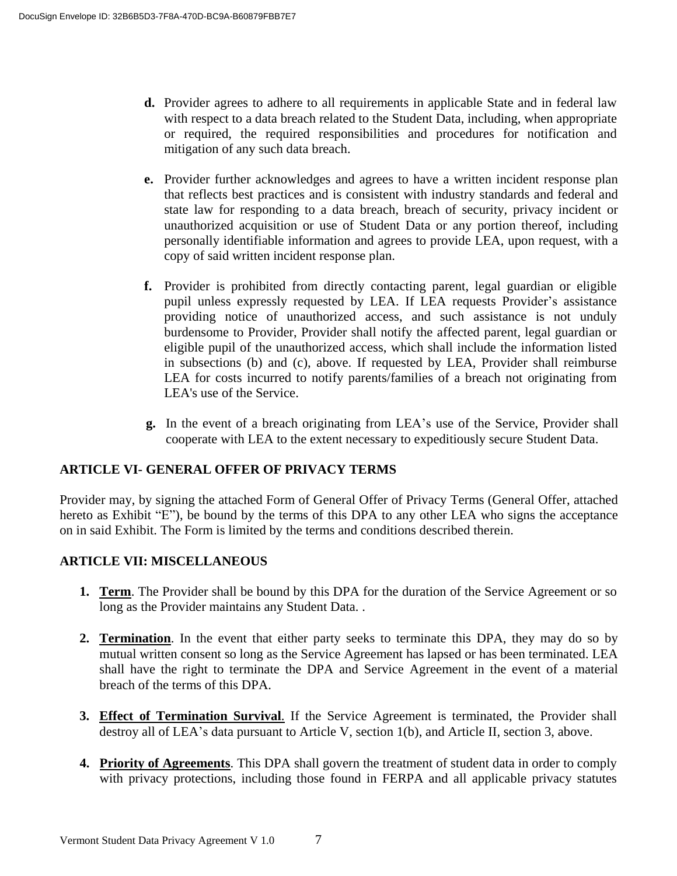- **d.** Provider agrees to adhere to all requirements in applicable State and in federal law with respect to a data breach related to the Student Data, including, when appropriate or required, the required responsibilities and procedures for notification and mitigation of any such data breach.
- **e.** Provider further acknowledges and agrees to have a written incident response plan that reflects best practices and is consistent with industry standards and federal and state law for responding to a data breach, breach of security, privacy incident or unauthorized acquisition or use of Student Data or any portion thereof, including personally identifiable information and agrees to provide LEA, upon request, with a copy of said written incident response plan.
- **f.** Provider is prohibited from directly contacting parent, legal guardian or eligible pupil unless expressly requested by LEA. If LEA requests Provider's assistance providing notice of unauthorized access, and such assistance is not unduly burdensome to Provider, Provider shall notify the affected parent, legal guardian or eligible pupil of the unauthorized access, which shall include the information listed in subsections (b) and (c), above. If requested by LEA, Provider shall reimburse LEA for costs incurred to notify parents/families of a breach not originating from LEA's use of the Service.
- **g.** In the event of a breach originating from LEA's use of the Service, Provider shall cooperate with LEA to the extent necessary to expeditiously secure Student Data.

### **ARTICLE VI- GENERAL OFFER OF PRIVACY TERMS**

Provider may, by signing the attached Form of General Offer of Privacy Terms (General Offer, attached hereto as Exhibit "E"), be bound by the terms of this DPA to any other LEA who signs the acceptance on in said Exhibit. The Form is limited by the terms and conditions described therein.

### **ARTICLE VII: MISCELLANEOUS**

- **1. Term**. The Provider shall be bound by this DPA for the duration of the Service Agreement or so long as the Provider maintains any Student Data. .
- **2. Termination**. In the event that either party seeks to terminate this DPA, they may do so by mutual written consent so long as the Service Agreement has lapsed or has been terminated. LEA shall have the right to terminate the DPA and Service Agreement in the event of a material breach of the terms of this DPA.
- **3. Effect of Termination Survival**. If the Service Agreement is terminated, the Provider shall destroy all of LEA's data pursuant to Article V, section 1(b), and Article II, section 3, above.
- **4. Priority of Agreements**. This DPA shall govern the treatment of student data in order to comply with privacy protections, including those found in FERPA and all applicable privacy statutes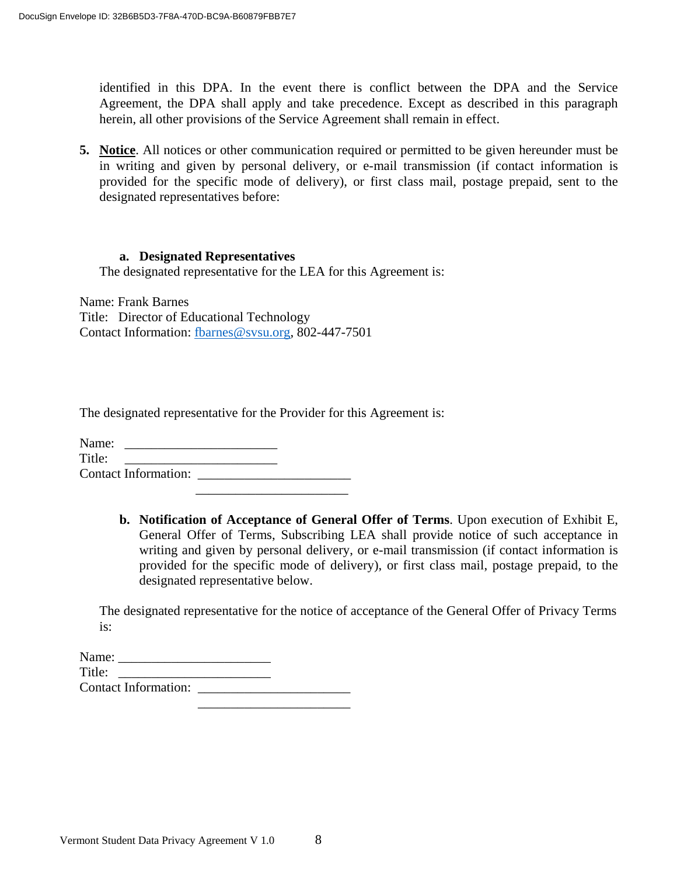identified in this DPA. In the event there is conflict between the DPA and the Service Agreement, the DPA shall apply and take precedence. Except as described in this paragraph herein, all other provisions of the Service Agreement shall remain in effect.

**5. Notice**. All notices or other communication required or permitted to be given hereunder must be in writing and given by personal delivery, or e-mail transmission (if contact information is provided for the specific mode of delivery), or first class mail, postage prepaid, sent to the designated representatives before:

#### **a. Designated Representatives**

The designated representative for the LEA for this Agreement is:

Name: Frank Barnes Title: Director of Educational Technology Contact Information: fbarnes@svsu.org, 802-447-7501

The designated representative for the Provider for this Agreement is:

\_\_\_\_\_\_\_\_\_\_\_\_\_\_\_\_\_\_\_\_\_\_\_

| Name:                       |  |
|-----------------------------|--|
| Title:                      |  |
| <b>Contact Information:</b> |  |

**b. Notification of Acceptance of General Offer of Terms**. Upon execution of Exhibit E, General Offer of Terms, Subscribing LEA shall provide notice of such acceptance in writing and given by personal delivery, or e-mail transmission (if contact information is provided for the specific mode of delivery), or first class mail, postage prepaid, to the designated representative below.

The designated representative for the notice of acceptance of the General Offer of Privacy Terms is:

| Name:                       |  |
|-----------------------------|--|
| Title:                      |  |
| <b>Contact Information:</b> |  |
|                             |  |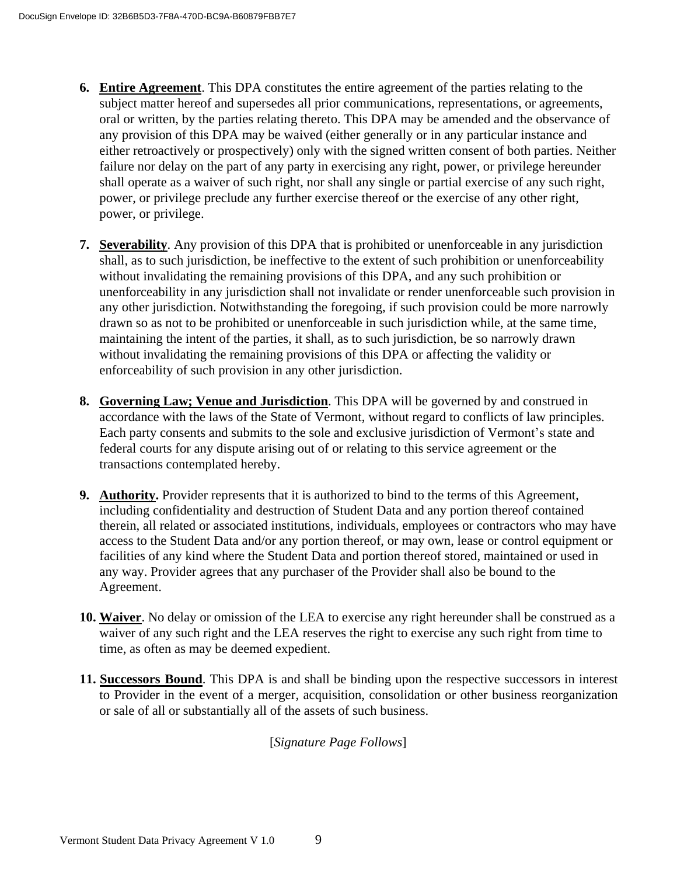- **6. Entire Agreement**. This DPA constitutes the entire agreement of the parties relating to the subject matter hereof and supersedes all prior communications, representations, or agreements, oral or written, by the parties relating thereto. This DPA may be amended and the observance of any provision of this DPA may be waived (either generally or in any particular instance and either retroactively or prospectively) only with the signed written consent of both parties. Neither failure nor delay on the part of any party in exercising any right, power, or privilege hereunder shall operate as a waiver of such right, nor shall any single or partial exercise of any such right, power, or privilege preclude any further exercise thereof or the exercise of any other right, power, or privilege.
- **7. Severability**. Any provision of this DPA that is prohibited or unenforceable in any jurisdiction shall, as to such jurisdiction, be ineffective to the extent of such prohibition or unenforceability without invalidating the remaining provisions of this DPA, and any such prohibition or unenforceability in any jurisdiction shall not invalidate or render unenforceable such provision in any other jurisdiction. Notwithstanding the foregoing, if such provision could be more narrowly drawn so as not to be prohibited or unenforceable in such jurisdiction while, at the same time, maintaining the intent of the parties, it shall, as to such jurisdiction, be so narrowly drawn without invalidating the remaining provisions of this DPA or affecting the validity or enforceability of such provision in any other jurisdiction.
- **8. Governing Law; Venue and Jurisdiction**. This DPA will be governed by and construed in accordance with the laws of the State of Vermont, without regard to conflicts of law principles. Each party consents and submits to the sole and exclusive jurisdiction of Vermont's state and federal courts for any dispute arising out of or relating to this service agreement or the transactions contemplated hereby.
- **9. Authority.** Provider represents that it is authorized to bind to the terms of this Agreement, including confidentiality and destruction of Student Data and any portion thereof contained therein, all related or associated institutions, individuals, employees or contractors who may have access to the Student Data and/or any portion thereof, or may own, lease or control equipment or facilities of any kind where the Student Data and portion thereof stored, maintained or used in any way. Provider agrees that any purchaser of the Provider shall also be bound to the Agreement.
- **10. Waiver**. No delay or omission of the LEA to exercise any right hereunder shall be construed as a waiver of any such right and the LEA reserves the right to exercise any such right from time to time, as often as may be deemed expedient.
- **11. Successors Bound**. This DPA is and shall be binding upon the respective successors in interest to Provider in the event of a merger, acquisition, consolidation or other business reorganization or sale of all or substantially all of the assets of such business.

[*Signature Page Follows*]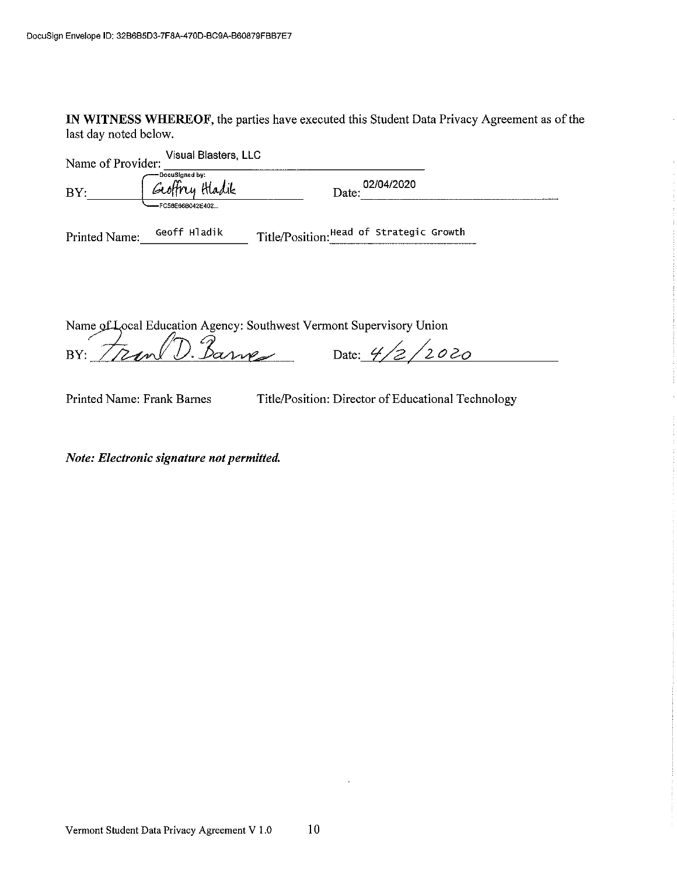IN WITNESS WHEREOF, the parties have executed this Student Data Privacy Agreement as of the last day noted below.

| Name of Provider: | Visual Blasters, LLC                                  |                                          |  |
|-------------------|-------------------------------------------------------|------------------------------------------|--|
| BY:               | -Docusigned by:<br>Geoffrey Hladik<br>FC58E66B042E402 | 02/04/2020<br>Date:                      |  |
| Printed Name:     | Geoff Hladik                                          | Title/Position: Head of Strategic Growth |  |

Name of Local Education Agency: Southwest Vermont Supervisory Union

BY: Fren $\bigcup$  Barres Date: 4/2/2020

Printed Name: Frank Barnes

Title/Position: Director of Educational Technology

Note: Electronic signature not permitted.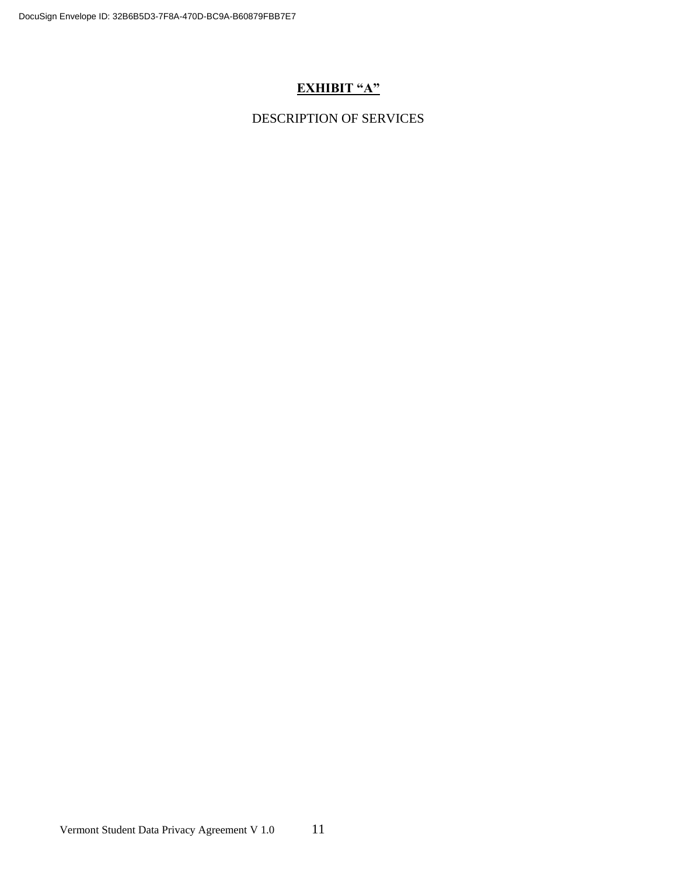# **EXHIBIT "A"**

## DESCRIPTION OF SERVICES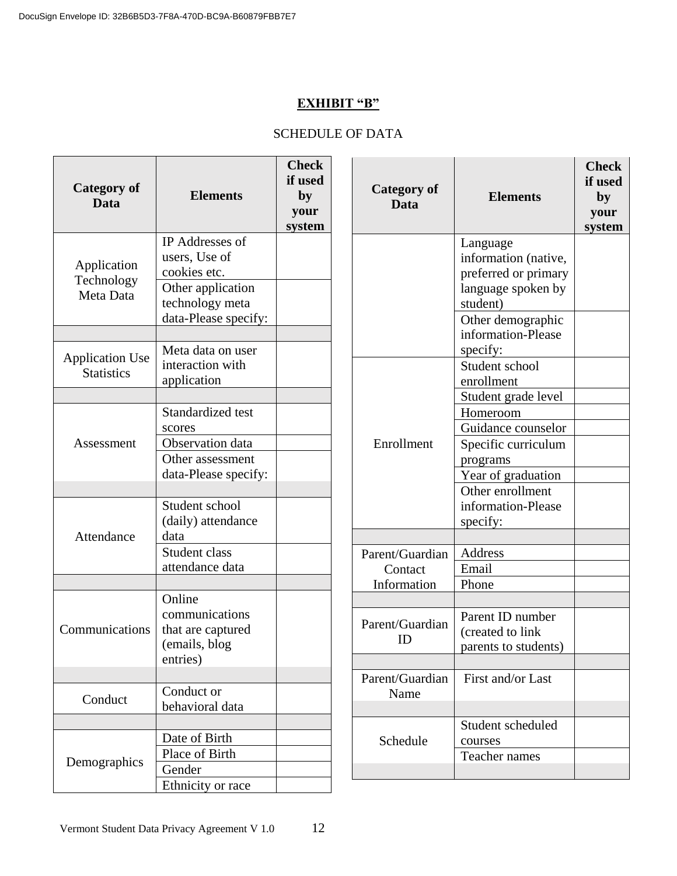## **EXHIBIT "B"**

## SCHEDULE OF DATA

| <b>Category of</b><br>Data                  | <b>Elements</b>                                                                          | <b>Check</b><br>if used<br>by<br>your<br>system | <b>Category of</b><br><b>Data</b>         | <b>Elements</b>                                                                            | <b>Check</b><br>if used<br>by<br>your<br>system |
|---------------------------------------------|------------------------------------------------------------------------------------------|-------------------------------------------------|-------------------------------------------|--------------------------------------------------------------------------------------------|-------------------------------------------------|
| Application<br>Technology<br>Meta Data      | IP Addresses of<br>users, Use of<br>cookies etc.<br>Other application<br>technology meta |                                                 |                                           | Language<br>information (native,<br>preferred or primary<br>language spoken by<br>student) |                                                 |
|                                             | data-Please specify:<br>Meta data on user                                                |                                                 |                                           | Other demographic<br>information-Please<br>specify:                                        |                                                 |
| <b>Application Use</b><br><b>Statistics</b> | interaction with<br>application                                                          |                                                 |                                           | Student school<br>enrollment                                                               |                                                 |
|                                             | Standardized test<br>scores                                                              |                                                 |                                           | Student grade level<br>Homeroom<br>Guidance counselor                                      |                                                 |
| Assessment                                  | Observation data<br>Other assessment<br>data-Please specify:                             |                                                 | Enrollment                                | Specific curriculum<br>programs                                                            |                                                 |
| Attendance                                  | Student school<br>(daily) attendance<br>data                                             |                                                 |                                           | Year of graduation<br>Other enrollment<br>information-Please<br>specify:                   |                                                 |
|                                             | Student class<br>attendance data                                                         |                                                 | Parent/Guardian<br>Contact<br>Information | Address<br>Email<br>Phone                                                                  |                                                 |
| Communications                              | Online<br>communications<br>that are captured<br>(emails, blog<br>entries)               |                                                 | Parent/Guardian<br>ID                     | Parent ID number<br>(created to link<br>parents to students)                               |                                                 |
| Conduct                                     | Conduct or<br>behavioral data                                                            |                                                 | Parent/Guardian<br>Name                   | First and/or Last                                                                          |                                                 |
|                                             | Date of Birth<br>Place of Birth                                                          |                                                 | Schedule                                  | Student scheduled<br>courses<br>Teacher names                                              |                                                 |
| Demographics                                | Gender<br>Ethnicity or race                                                              |                                                 |                                           |                                                                                            |                                                 |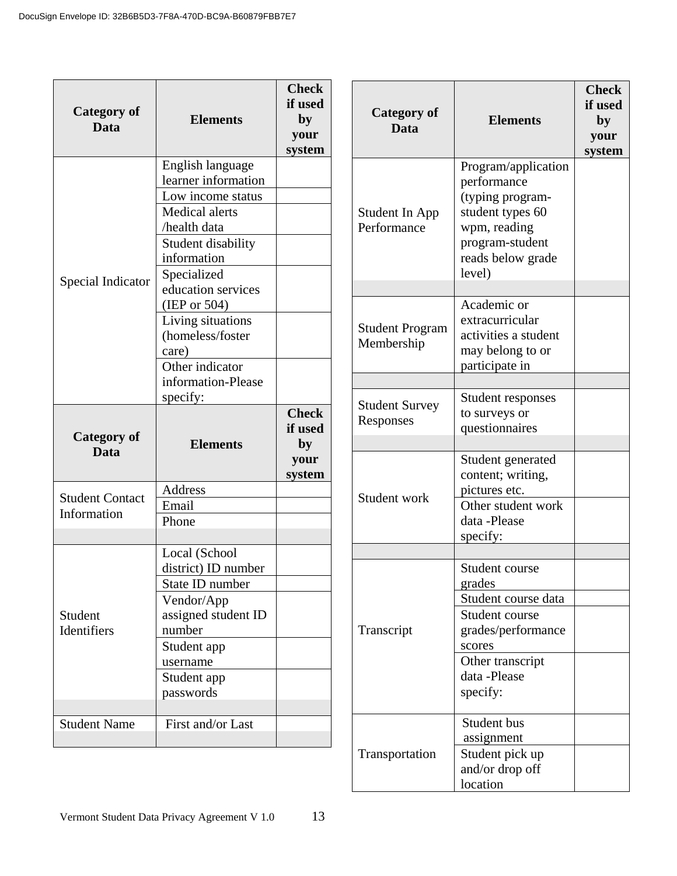| <b>Category of</b><br><b>Data</b>     | <b>Elements</b>                                                                                                                                                          | <b>Check</b><br>if used<br>by<br>your<br>system | <b>Category of</b><br><b>Data</b>    | <b>Elements</b>                                                                                                                              | <b>Check</b><br>if used<br>by<br>your<br>system |
|---------------------------------------|--------------------------------------------------------------------------------------------------------------------------------------------------------------------------|-------------------------------------------------|--------------------------------------|----------------------------------------------------------------------------------------------------------------------------------------------|-------------------------------------------------|
| Special Indicator                     | English language<br>learner information<br>Low income status<br>Medical alerts<br>/health data<br>Student disability<br>information<br>Specialized<br>education services |                                                 | Student In App<br>Performance        | Program/application<br>performance<br>(typing program-<br>student types 60<br>wpm, reading<br>program-student<br>reads below grade<br>level) |                                                 |
|                                       | (IEP or 504)<br>Living situations<br>(homeless/foster<br>care)<br>Other indicator<br>information-Please<br>specify:                                                      |                                                 | <b>Student Program</b><br>Membership | Academic or<br>extracurricular<br>activities a student<br>may belong to or<br>participate in<br>Student responses                            |                                                 |
| <b>Category of</b><br><b>Data</b>     | <b>Elements</b>                                                                                                                                                          | <b>Check</b><br>if used<br>by<br>your           | <b>Student Survey</b><br>Responses   | to surveys or<br>questionnaires<br>Student generated                                                                                         |                                                 |
| <b>Student Contact</b><br>Information | Address<br>Email<br>Phone                                                                                                                                                | system                                          | Student work                         | content; writing,<br>pictures etc.<br>Other student work<br>data -Please<br>specify:                                                         |                                                 |
| Student<br>Identifiers                | Local (School<br>district) ID number<br>State ID number<br>Vendor/App<br>assigned student ID<br>number<br>Student app<br>username<br>Student app                         |                                                 | Transcript                           | Student course<br>grades<br>Student course data<br>Student course<br>grades/performance<br>scores<br>Other transcript<br>data -Please        |                                                 |
| <b>Student Name</b>                   | passwords<br>First and/or Last                                                                                                                                           |                                                 | Transportation                       | specify:<br>Student bus<br>assignment<br>Student pick up<br>and/or drop off                                                                  |                                                 |

location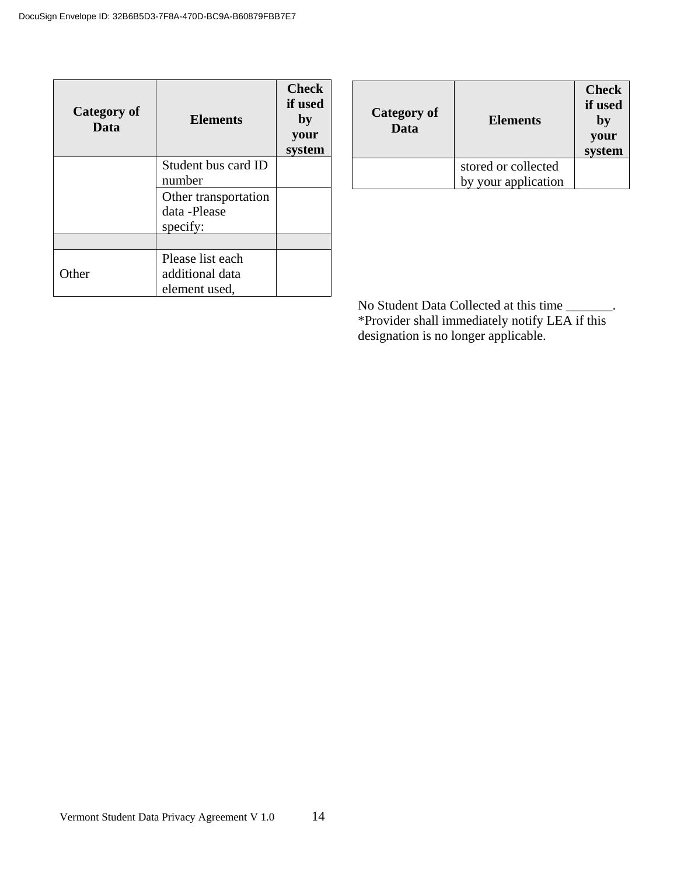| Category of<br>Data | <b>Elements</b>                                      | <b>Check</b><br>if used<br>by<br>your<br>system |
|---------------------|------------------------------------------------------|-------------------------------------------------|
|                     | Student bus card ID<br>number                        |                                                 |
|                     | Other transportation<br>data -Please<br>specify:     |                                                 |
|                     |                                                      |                                                 |
| Other               | Please list each<br>additional data<br>element used, |                                                 |

| Category of<br>Data | <b>Elements</b>                            | <b>Check</b><br>if used<br>by<br>your<br>system |
|---------------------|--------------------------------------------|-------------------------------------------------|
|                     | stored or collected<br>by your application |                                                 |

No Student Data Collected at this time \_\_\_\_\_\_\_. \*Provider shall immediately notify LEA if this designation is no longer applicable.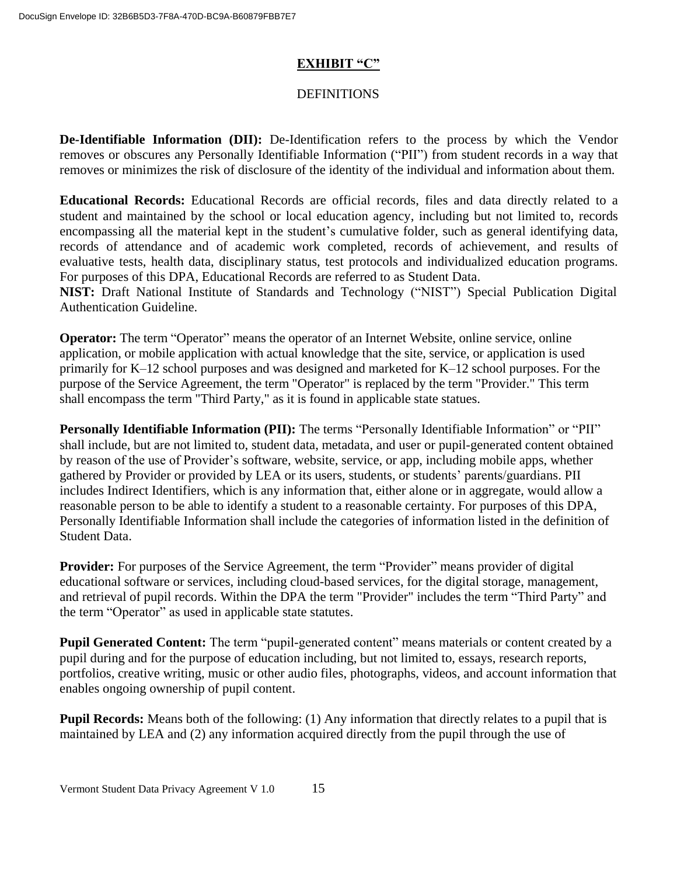### **EXHIBIT "C"**

### **DEFINITIONS**

**De-Identifiable Information (DII):** De-Identification refers to the process by which the Vendor removes or obscures any Personally Identifiable Information ("PII") from student records in a way that removes or minimizes the risk of disclosure of the identity of the individual and information about them.

**Educational Records:** Educational Records are official records, files and data directly related to a student and maintained by the school or local education agency, including but not limited to, records encompassing all the material kept in the student's cumulative folder, such as general identifying data, records of attendance and of academic work completed, records of achievement, and results of evaluative tests, health data, disciplinary status, test protocols and individualized education programs. For purposes of this DPA, Educational Records are referred to as Student Data.

**NIST:** Draft National Institute of Standards and Technology ("NIST") Special Publication Digital Authentication Guideline.

**Operator:** The term "Operator" means the operator of an Internet Website, online service, online application, or mobile application with actual knowledge that the site, service, or application is used primarily for K–12 school purposes and was designed and marketed for K–12 school purposes. For the purpose of the Service Agreement, the term "Operator" is replaced by the term "Provider." This term shall encompass the term "Third Party," as it is found in applicable state statues.

**Personally Identifiable Information (PII):** The terms "Personally Identifiable Information" or "PII" shall include, but are not limited to, student data, metadata, and user or pupil-generated content obtained by reason of the use of Provider's software, website, service, or app, including mobile apps, whether gathered by Provider or provided by LEA or its users, students, or students' parents/guardians. PII includes Indirect Identifiers, which is any information that, either alone or in aggregate, would allow a reasonable person to be able to identify a student to a reasonable certainty. For purposes of this DPA, Personally Identifiable Information shall include the categories of information listed in the definition of Student Data.

**Provider:** For purposes of the Service Agreement, the term "Provider" means provider of digital educational software or services, including cloud-based services, for the digital storage, management, and retrieval of pupil records. Within the DPA the term "Provider" includes the term "Third Party" and the term "Operator" as used in applicable state statutes.

**Pupil Generated Content:** The term "pupil-generated content" means materials or content created by a pupil during and for the purpose of education including, but not limited to, essays, research reports, portfolios, creative writing, music or other audio files, photographs, videos, and account information that enables ongoing ownership of pupil content.

**Pupil Records:** Means both of the following: (1) Any information that directly relates to a pupil that is maintained by LEA and (2) any information acquired directly from the pupil through the use of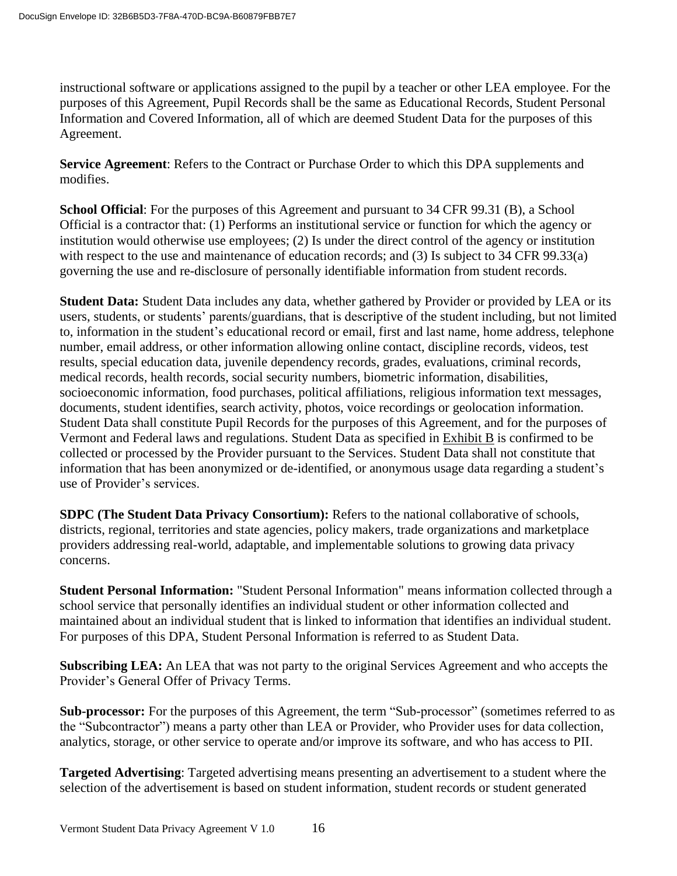instructional software or applications assigned to the pupil by a teacher or other LEA employee. For the purposes of this Agreement, Pupil Records shall be the same as Educational Records, Student Personal Information and Covered Information, all of which are deemed Student Data for the purposes of this Agreement.

**Service Agreement**: Refers to the Contract or Purchase Order to which this DPA supplements and modifies.

**School Official**: For the purposes of this Agreement and pursuant to 34 CFR 99.31 (B), a School Official is a contractor that: (1) Performs an institutional service or function for which the agency or institution would otherwise use employees; (2) Is under the direct control of the agency or institution with respect to the use and maintenance of education records; and (3) Is subject to 34 CFR 99.33(a) governing the use and re-disclosure of personally identifiable information from student records.

**Student Data:** Student Data includes any data, whether gathered by Provider or provided by LEA or its users, students, or students' parents/guardians, that is descriptive of the student including, but not limited to, information in the student's educational record or email, first and last name, home address, telephone number, email address, or other information allowing online contact, discipline records, videos, test results, special education data, juvenile dependency records, grades, evaluations, criminal records, medical records, health records, social security numbers, biometric information, disabilities, socioeconomic information, food purchases, political affiliations, religious information text messages, documents, student identifies, search activity, photos, voice recordings or geolocation information. Student Data shall constitute Pupil Records for the purposes of this Agreement, and for the purposes of Vermont and Federal laws and regulations. Student Data as specified in Exhibit B is confirmed to be collected or processed by the Provider pursuant to the Services. Student Data shall not constitute that information that has been anonymized or de-identified, or anonymous usage data regarding a student's use of Provider's services.

**SDPC (The Student Data Privacy Consortium):** Refers to the national collaborative of schools, districts, regional, territories and state agencies, policy makers, trade organizations and marketplace providers addressing real-world, adaptable, and implementable solutions to growing data privacy concerns.

**Student Personal Information:** "Student Personal Information" means information collected through a school service that personally identifies an individual student or other information collected and maintained about an individual student that is linked to information that identifies an individual student. For purposes of this DPA, Student Personal Information is referred to as Student Data.

**Subscribing LEA:** An LEA that was not party to the original Services Agreement and who accepts the Provider's General Offer of Privacy Terms.

**Sub-processor:** For the purposes of this Agreement, the term "Sub-processor" (sometimes referred to as the "Subcontractor") means a party other than LEA or Provider, who Provider uses for data collection, analytics, storage, or other service to operate and/or improve its software, and who has access to PII.

**Targeted Advertising**: Targeted advertising means presenting an advertisement to a student where the selection of the advertisement is based on student information, student records or student generated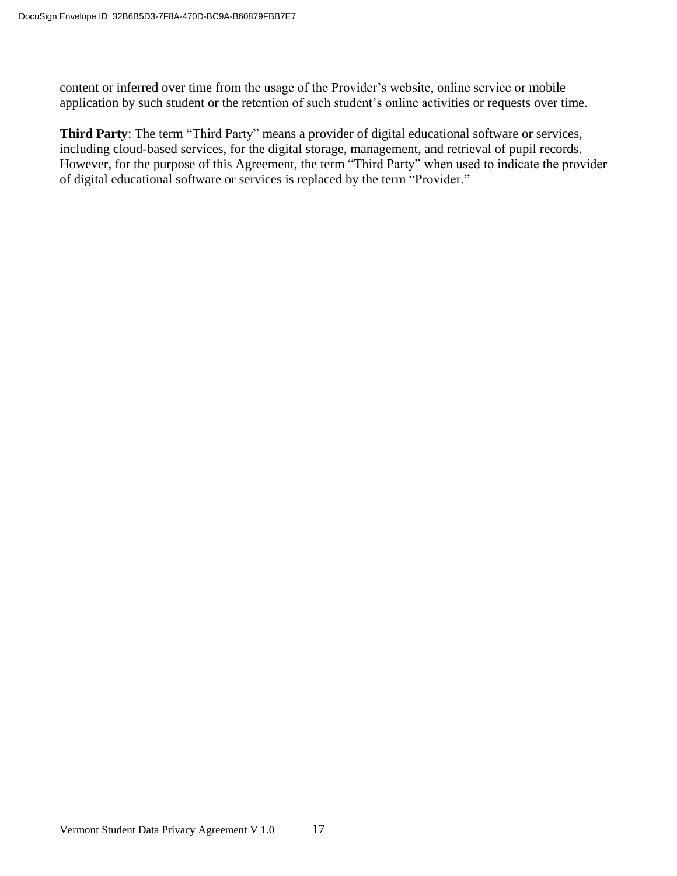content or inferred over time from the usage of the Provider's website, online service or mobile application by such student or the retention of such student's online activities or requests over time.

**Third Party**: The term "Third Party" means a provider of digital educational software or services, including cloud-based services, for the digital storage, management, and retrieval of pupil records. However, for the purpose of this Agreement, the term "Third Party" when used to indicate the provider of digital educational software or services is replaced by the term "Provider."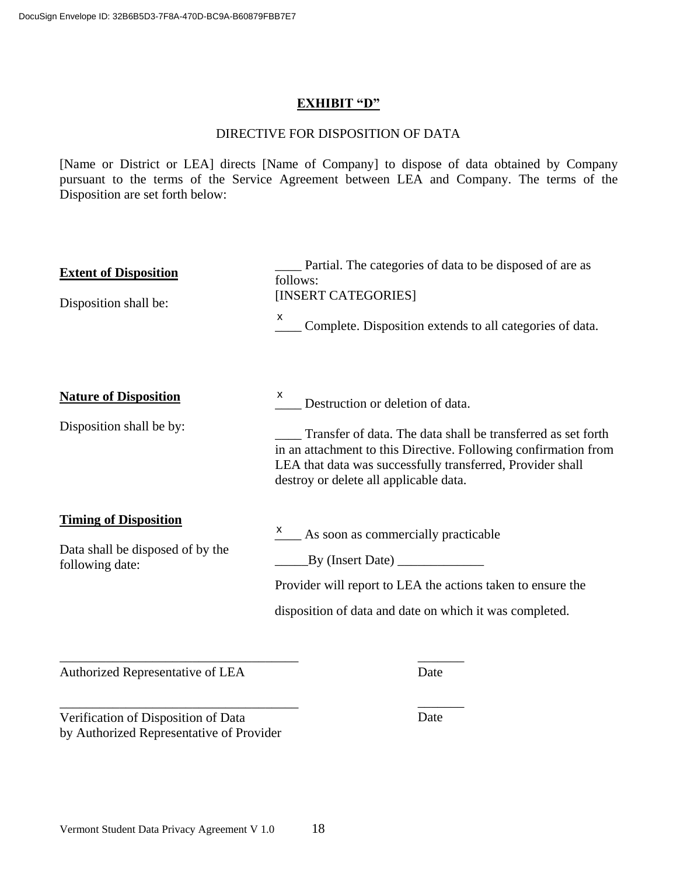## **EXHIBIT "D"**

### DIRECTIVE FOR DISPOSITION OF DATA

[Name or District or LEA] directs [Name of Company] to dispose of data obtained by Company pursuant to the terms of the Service Agreement between LEA and Company. The terms of the Disposition are set forth below:

| <b>Extent of Disposition</b><br>Disposition shall be: | Partial. The categories of data to be disposed of are as<br>follows:<br>[INSERT CATEGORIES]<br>X<br>Complete. Disposition extends to all categories of data.                                                                            |
|-------------------------------------------------------|-----------------------------------------------------------------------------------------------------------------------------------------------------------------------------------------------------------------------------------------|
| <b>Nature of Disposition</b>                          | x.<br>Destruction or deletion of data.                                                                                                                                                                                                  |
| Disposition shall be by:                              | Transfer of data. The data shall be transferred as set forth<br>in an attachment to this Directive. Following confirmation from<br>LEA that data was successfully transferred, Provider shall<br>destroy or delete all applicable data. |
| <b>Timing of Disposition</b>                          |                                                                                                                                                                                                                                         |
| Data shall be disposed of by the                      | $\frac{x}{x}$ As soon as commercially practicable<br>By (Insert Date)                                                                                                                                                                   |
| following date:                                       | Provider will report to LEA the actions taken to ensure the                                                                                                                                                                             |
|                                                       | disposition of data and date on which it was completed.                                                                                                                                                                                 |
|                                                       |                                                                                                                                                                                                                                         |

Authorized Representative of LEA

Date

\_\_\_\_\_\_\_\_\_\_\_\_\_\_\_\_\_\_\_\_\_\_\_\_\_\_\_\_\_\_\_\_\_\_\_\_ Verification of Disposition of Data by Authorized Representative of Provider

Date

 $\overline{\phantom{a}}$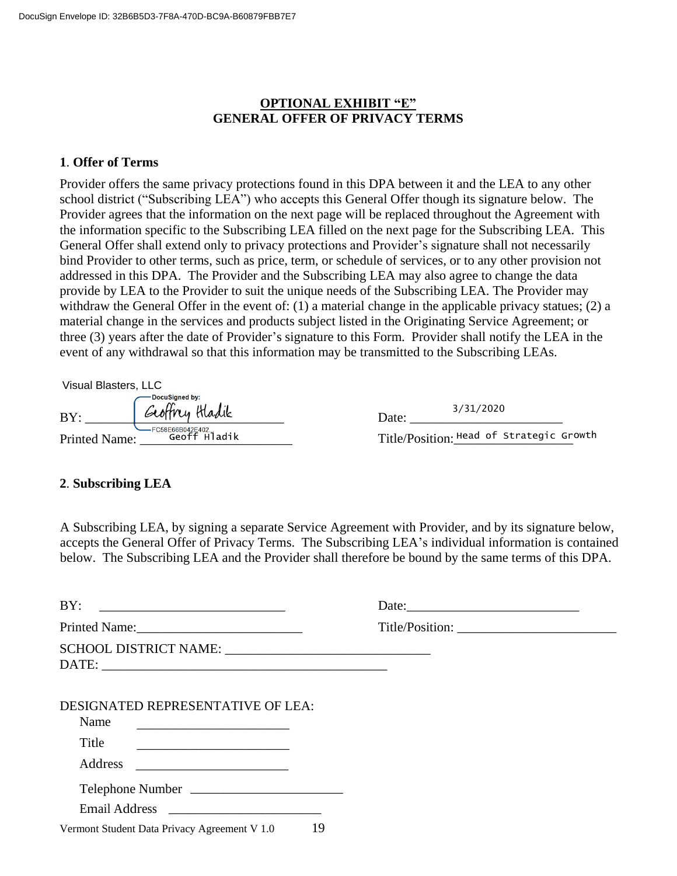### **OPTIONAL EXHIBIT "E" GENERAL OFFER OF PRIVACY TERMS**

### **1**. **Offer of Terms**

Provider offers the same privacy protections found in this DPA between it and the LEA to any other school district ("Subscribing LEA") who accepts this General Offer though its signature below. The Provider agrees that the information on the next page will be replaced throughout the Agreement with the information specific to the Subscribing LEA filled on the next page for the Subscribing LEA. This General Offer shall extend only to privacy protections and Provider's signature shall not necessarily bind Provider to other terms, such as price, term, or schedule of services, or to any other provision not addressed in this DPA. The Provider and the Subscribing LEA may also agree to change the data provide by LEA to the Provider to suit the unique needs of the Subscribing LEA. The Provider may withdraw the General Offer in the event of: (1) a material change in the applicable privacy statues; (2) a material change in the services and products subject listed in the Originating Service Agreement; or three (3) years after the date of Provider's signature to this Form. Provider shall notify the LEA in the event of any withdrawal so that this information may be transmitted to the Subscribing LEAs.

| Visual Blasters, LLC |                                 |                                          |
|----------------------|---------------------------------|------------------------------------------|
|                      | DocuSigned by:                  |                                          |
| BY:                  | Geoffrey Hladik                 | 3/31/2020<br>Date:                       |
| <b>Printed Name:</b> | FC58E66B042E402<br>Geoff Hladik | Title/Position: Head of Strategic Growth |

### **2**. **Subscribing LEA**

Vermont Student Data Privacy Agreement V 1.0 19

A Subscribing LEA, by signing a separate Service Agreement with Provider, and by its signature below, accepts the General Offer of Privacy Terms. The Subscribing LEA's individual information is contained below. The Subscribing LEA and the Provider shall therefore be bound by the same terms of this DPA.

| BY:                                                                                                                                                                                                           | Date:           |
|---------------------------------------------------------------------------------------------------------------------------------------------------------------------------------------------------------------|-----------------|
|                                                                                                                                                                                                               | Title/Position: |
| DATE:                                                                                                                                                                                                         |                 |
| DESIGNATED REPRESENTATIVE OF LEA:<br>Name<br>the control of the control of the control of the control of the control of the control of<br>Title<br><u> 1989 - Johann John Stone, mars et al. (</u><br>Address |                 |
| Telephone Number                                                                                                                                                                                              |                 |